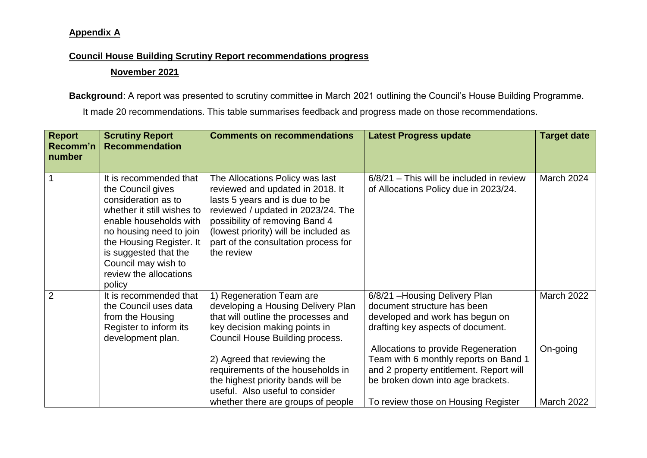## **Appendix A**

## **Council House Building Scrutiny Report recommendations progress**

## **November 2021**

**Background**: A report was presented to scrutiny committee in March 2021 outlining the Council's House Building Programme.

It made 20 recommendations. This table summarises feedback and progress made on those recommendations.

| <b>Report</b><br>Recomm'n<br>number | <b>Scrutiny Report</b><br><b>Recommendation</b>                                                                                                                                                                                                                       | <b>Comments on recommendations</b>                                                                                                                                                                                                                                                                                      | <b>Latest Progress update</b>                                                                                                                                                                                                                                                                         | <b>Target date</b>     |
|-------------------------------------|-----------------------------------------------------------------------------------------------------------------------------------------------------------------------------------------------------------------------------------------------------------------------|-------------------------------------------------------------------------------------------------------------------------------------------------------------------------------------------------------------------------------------------------------------------------------------------------------------------------|-------------------------------------------------------------------------------------------------------------------------------------------------------------------------------------------------------------------------------------------------------------------------------------------------------|------------------------|
|                                     | It is recommended that<br>the Council gives<br>consideration as to<br>whether it still wishes to<br>enable households with<br>no housing need to join<br>the Housing Register. It<br>is suggested that the<br>Council may wish to<br>review the allocations<br>policy | The Allocations Policy was last<br>reviewed and updated in 2018. It<br>lasts 5 years and is due to be<br>reviewed / updated in 2023/24. The<br>possibility of removing Band 4<br>(lowest priority) will be included as<br>part of the consultation process for<br>the review                                            | $6/8/21$ – This will be included in review<br>of Allocations Policy due in 2023/24.                                                                                                                                                                                                                   | March 2024             |
| $\overline{2}$                      | It is recommended that<br>the Council uses data<br>from the Housing<br>Register to inform its<br>development plan.                                                                                                                                                    | 1) Regeneration Team are<br>developing a Housing Delivery Plan<br>that will outline the processes and<br>key decision making points in<br>Council House Building process.<br>2) Agreed that reviewing the<br>requirements of the households in<br>the highest priority bands will be<br>useful. Also useful to consider | 6/8/21 - Housing Delivery Plan<br>document structure has been<br>developed and work has begun on<br>drafting key aspects of document.<br>Allocations to provide Regeneration<br>Team with 6 monthly reports on Band 1<br>and 2 property entitlement. Report will<br>be broken down into age brackets. | March 2022<br>On-going |
|                                     |                                                                                                                                                                                                                                                                       | whether there are groups of people                                                                                                                                                                                                                                                                                      | To review those on Housing Register                                                                                                                                                                                                                                                                   | <b>March 2022</b>      |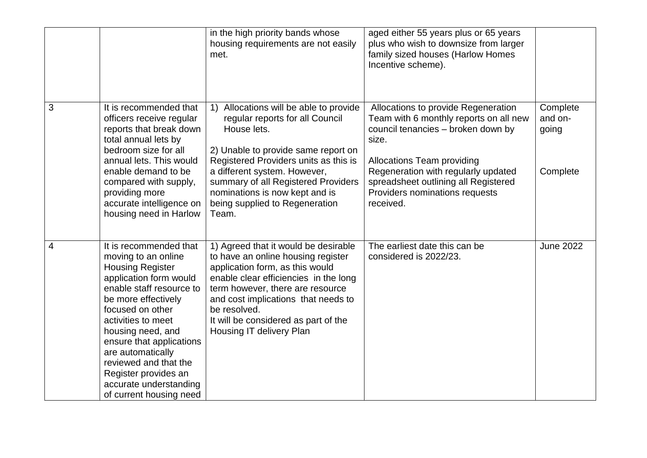|                |                                                                                                                                                                                                                                                                                                                                                                             | in the high priority bands whose<br>housing requirements are not easily<br>met.                                                                                                                                                                                                                                              | aged either 55 years plus or 65 years<br>plus who wish to downsize from larger<br>family sized houses (Harlow Homes<br>Incentive scheme).                                                                                                                                                       |                                          |
|----------------|-----------------------------------------------------------------------------------------------------------------------------------------------------------------------------------------------------------------------------------------------------------------------------------------------------------------------------------------------------------------------------|------------------------------------------------------------------------------------------------------------------------------------------------------------------------------------------------------------------------------------------------------------------------------------------------------------------------------|-------------------------------------------------------------------------------------------------------------------------------------------------------------------------------------------------------------------------------------------------------------------------------------------------|------------------------------------------|
| 3              | It is recommended that<br>officers receive regular<br>reports that break down<br>total annual lets by<br>bedroom size for all<br>annual lets. This would<br>enable demand to be<br>compared with supply,<br>providing more<br>accurate intelligence on<br>housing need in Harlow                                                                                            | 1) Allocations will be able to provide<br>regular reports for all Council<br>House lets.<br>2) Unable to provide same report on<br>Registered Providers units as this is<br>a different system. However,<br>summary of all Registered Providers<br>nominations is now kept and is<br>being supplied to Regeneration<br>Team. | Allocations to provide Regeneration<br>Team with 6 monthly reports on all new<br>council tenancies - broken down by<br>size.<br><b>Allocations Team providing</b><br>Regeneration with regularly updated<br>spreadsheet outlining all Registered<br>Providers nominations requests<br>received. | Complete<br>and on-<br>going<br>Complete |
| $\overline{4}$ | It is recommended that<br>moving to an online<br><b>Housing Register</b><br>application form would<br>enable staff resource to<br>be more effectively<br>focused on other<br>activities to meet<br>housing need, and<br>ensure that applications<br>are automatically<br>reviewed and that the<br>Register provides an<br>accurate understanding<br>of current housing need | 1) Agreed that it would be desirable<br>to have an online housing register<br>application form, as this would<br>enable clear efficiencies in the long<br>term however, there are resource<br>and cost implications that needs to<br>be resolved.<br>It will be considered as part of the<br>Housing IT delivery Plan        | The earliest date this can be<br>considered is 2022/23.                                                                                                                                                                                                                                         | <b>June 2022</b>                         |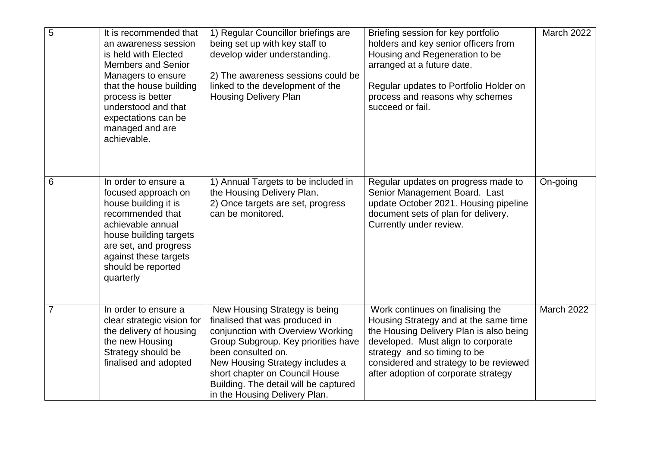| $\overline{5}$ | It is recommended that<br>an awareness session<br>is held with Elected<br><b>Members and Senior</b><br>Managers to ensure<br>that the house building<br>process is better<br>understood and that<br>expectations can be<br>managed and are<br>achievable. | 1) Regular Councillor briefings are<br>being set up with key staff to<br>develop wider understanding.<br>2) The awareness sessions could be<br>linked to the development of the<br><b>Housing Delivery Plan</b>                                                                                                  | Briefing session for key portfolio<br>holders and key senior officers from<br>Housing and Regeneration to be<br>arranged at a future date.<br>Regular updates to Portfolio Holder on<br>process and reasons why schemes<br>succeed or fail.                                  | <b>March 2022</b> |
|----------------|-----------------------------------------------------------------------------------------------------------------------------------------------------------------------------------------------------------------------------------------------------------|------------------------------------------------------------------------------------------------------------------------------------------------------------------------------------------------------------------------------------------------------------------------------------------------------------------|------------------------------------------------------------------------------------------------------------------------------------------------------------------------------------------------------------------------------------------------------------------------------|-------------------|
| 6              | In order to ensure a<br>focused approach on<br>house building it is<br>recommended that<br>achievable annual<br>house building targets<br>are set, and progress<br>against these targets<br>should be reported<br>quarterly                               | 1) Annual Targets to be included in<br>the Housing Delivery Plan.<br>2) Once targets are set, progress<br>can be monitored.                                                                                                                                                                                      | Regular updates on progress made to<br>Senior Management Board. Last<br>update October 2021. Housing pipeline<br>document sets of plan for delivery.<br>Currently under review.                                                                                              | On-going          |
| $\overline{7}$ | In order to ensure a<br>clear strategic vision for<br>the delivery of housing<br>the new Housing<br>Strategy should be<br>finalised and adopted                                                                                                           | New Housing Strategy is being<br>finalised that was produced in<br>conjunction with Overview Working<br>Group Subgroup. Key priorities have<br>been consulted on.<br>New Housing Strategy includes a<br>short chapter on Council House<br>Building. The detail will be captured<br>in the Housing Delivery Plan. | Work continues on finalising the<br>Housing Strategy and at the same time<br>the Housing Delivery Plan is also being<br>developed. Must align to corporate<br>strategy and so timing to be<br>considered and strategy to be reviewed<br>after adoption of corporate strategy | <b>March 2022</b> |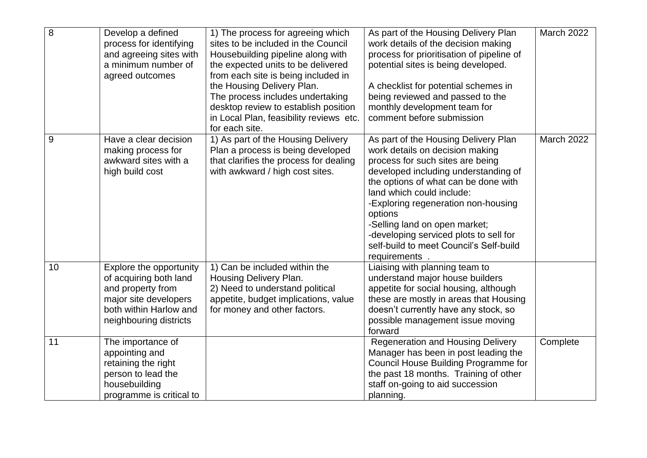| 8  | Develop a defined<br>process for identifying<br>and agreeing sites with<br>a minimum number of<br>agreed outcomes                                   | 1) The process for agreeing which<br>sites to be included in the Council<br>Housebuilding pipeline along with<br>the expected units to be delivered<br>from each site is being included in<br>the Housing Delivery Plan.<br>The process includes undertaking<br>desktop review to establish position<br>in Local Plan, feasibility reviews etc.<br>for each site. | As part of the Housing Delivery Plan<br>work details of the decision making<br>process for prioritisation of pipeline of<br>potential sites is being developed.<br>A checklist for potential schemes in<br>being reviewed and passed to the<br>monthly development team for<br>comment before submission                                                                                                         | <b>March 2022</b> |
|----|-----------------------------------------------------------------------------------------------------------------------------------------------------|-------------------------------------------------------------------------------------------------------------------------------------------------------------------------------------------------------------------------------------------------------------------------------------------------------------------------------------------------------------------|------------------------------------------------------------------------------------------------------------------------------------------------------------------------------------------------------------------------------------------------------------------------------------------------------------------------------------------------------------------------------------------------------------------|-------------------|
| 9  | Have a clear decision<br>making process for<br>awkward sites with a<br>high build cost                                                              | 1) As part of the Housing Delivery<br>Plan a process is being developed<br>that clarifies the process for dealing<br>with awkward / high cost sites.                                                                                                                                                                                                              | As part of the Housing Delivery Plan<br>work details on decision making<br>process for such sites are being<br>developed including understanding of<br>the options of what can be done with<br>land which could include:<br>-Exploring regeneration non-housing<br>options<br>-Selling land on open market;<br>-developing serviced plots to sell for<br>self-build to meet Council's Self-build<br>requirements | March 2022        |
| 10 | Explore the opportunity<br>of acquiring both land<br>and property from<br>major site developers<br>both within Harlow and<br>neighbouring districts | 1) Can be included within the<br>Housing Delivery Plan.<br>2) Need to understand political<br>appetite, budget implications, value<br>for money and other factors.                                                                                                                                                                                                | Liaising with planning team to<br>understand major house builders<br>appetite for social housing, although<br>these are mostly in areas that Housing<br>doesn't currently have any stock, so<br>possible management issue moving<br>forward                                                                                                                                                                      |                   |
| 11 | The importance of<br>appointing and<br>retaining the right<br>person to lead the<br>housebuilding<br>programme is critical to                       |                                                                                                                                                                                                                                                                                                                                                                   | <b>Regeneration and Housing Delivery</b><br>Manager has been in post leading the<br>Council House Building Programme for<br>the past 18 months. Training of other<br>staff on-going to aid succession<br>planning.                                                                                                                                                                                               | Complete          |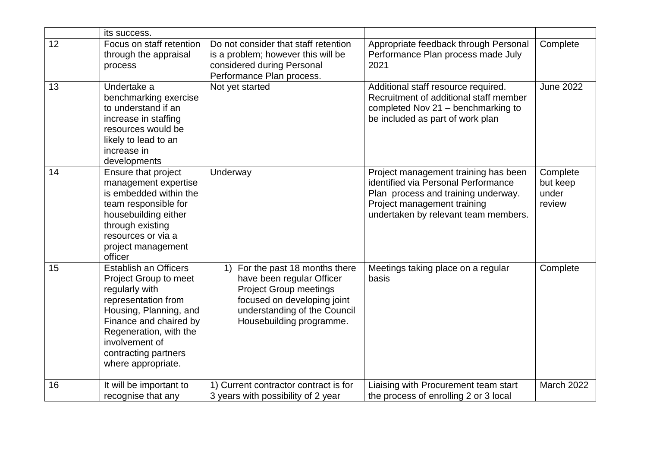|    | its success.                                                                                                                                                                                                                                 |                                                                                                                                                                                             |                                                                                                                                                                                           |                                         |
|----|----------------------------------------------------------------------------------------------------------------------------------------------------------------------------------------------------------------------------------------------|---------------------------------------------------------------------------------------------------------------------------------------------------------------------------------------------|-------------------------------------------------------------------------------------------------------------------------------------------------------------------------------------------|-----------------------------------------|
| 12 | Focus on staff retention<br>through the appraisal<br>process                                                                                                                                                                                 | Do not consider that staff retention<br>is a problem; however this will be<br>considered during Personal<br>Performance Plan process.                                                       | Appropriate feedback through Personal<br>Performance Plan process made July<br>2021                                                                                                       | Complete                                |
| 13 | Undertake a<br>benchmarking exercise<br>to understand if an<br>increase in staffing<br>resources would be<br>likely to lead to an<br>increase in<br>developments                                                                             | Not yet started                                                                                                                                                                             | Additional staff resource required.<br>Recruitment of additional staff member<br>completed Nov 21 - benchmarking to<br>be included as part of work plan                                   | <b>June 2022</b>                        |
| 14 | Ensure that project<br>management expertise<br>is embedded within the<br>team responsible for<br>housebuilding either<br>through existing<br>resources or via a<br>project management<br>officer                                             | Underway                                                                                                                                                                                    | Project management training has been<br>identified via Personal Performance<br>Plan process and training underway.<br>Project management training<br>undertaken by relevant team members. | Complete<br>but keep<br>under<br>review |
| 15 | <b>Establish an Officers</b><br>Project Group to meet<br>regularly with<br>representation from<br>Housing, Planning, and<br>Finance and chaired by<br>Regeneration, with the<br>involvement of<br>contracting partners<br>where appropriate. | For the past 18 months there<br>1)<br>have been regular Officer<br><b>Project Group meetings</b><br>focused on developing joint<br>understanding of the Council<br>Housebuilding programme. | Meetings taking place on a regular<br>basis                                                                                                                                               | Complete                                |
| 16 | It will be important to<br>recognise that any                                                                                                                                                                                                | 1) Current contractor contract is for<br>3 years with possibility of 2 year                                                                                                                 | Liaising with Procurement team start<br>the process of enrolling 2 or 3 local                                                                                                             | <b>March 2022</b>                       |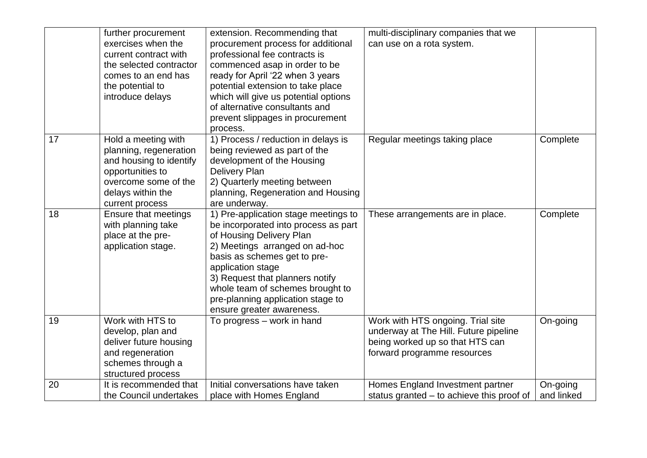|    | further procurement<br>exercises when the<br>current contract with<br>the selected contractor<br>comes to an end has<br>the potential to<br>introduce delays | extension. Recommending that<br>procurement process for additional<br>professional fee contracts is<br>commenced asap in order to be<br>ready for April '22 when 3 years<br>potential extension to take place<br>which will give us potential options<br>of alternative consultants and<br>prevent slippages in procurement<br>process.  | multi-disciplinary companies that we<br>can use on a rota system.                                                                            |                        |
|----|--------------------------------------------------------------------------------------------------------------------------------------------------------------|------------------------------------------------------------------------------------------------------------------------------------------------------------------------------------------------------------------------------------------------------------------------------------------------------------------------------------------|----------------------------------------------------------------------------------------------------------------------------------------------|------------------------|
| 17 | Hold a meeting with<br>planning, regeneration<br>and housing to identify<br>opportunities to<br>overcome some of the<br>delays within the<br>current process | 1) Process / reduction in delays is<br>being reviewed as part of the<br>development of the Housing<br><b>Delivery Plan</b><br>2) Quarterly meeting between<br>planning, Regeneration and Housing<br>are underway.                                                                                                                        | Regular meetings taking place                                                                                                                | Complete               |
| 18 | Ensure that meetings<br>with planning take<br>place at the pre-<br>application stage.                                                                        | 1) Pre-application stage meetings to<br>be incorporated into process as part<br>of Housing Delivery Plan<br>2) Meetings arranged on ad-hoc<br>basis as schemes get to pre-<br>application stage<br>3) Request that planners notify<br>whole team of schemes brought to<br>pre-planning application stage to<br>ensure greater awareness. | These arrangements are in place.                                                                                                             | Complete               |
| 19 | Work with HTS to<br>develop, plan and<br>deliver future housing<br>and regeneration<br>schemes through a<br>structured process                               | To progress – work in hand                                                                                                                                                                                                                                                                                                               | Work with HTS ongoing. Trial site<br>underway at The Hill. Future pipeline<br>being worked up so that HTS can<br>forward programme resources | On-going               |
| 20 | It is recommended that<br>the Council undertakes                                                                                                             | Initial conversations have taken<br>place with Homes England                                                                                                                                                                                                                                                                             | Homes England Investment partner<br>status granted – to achieve this proof of                                                                | On-going<br>and linked |